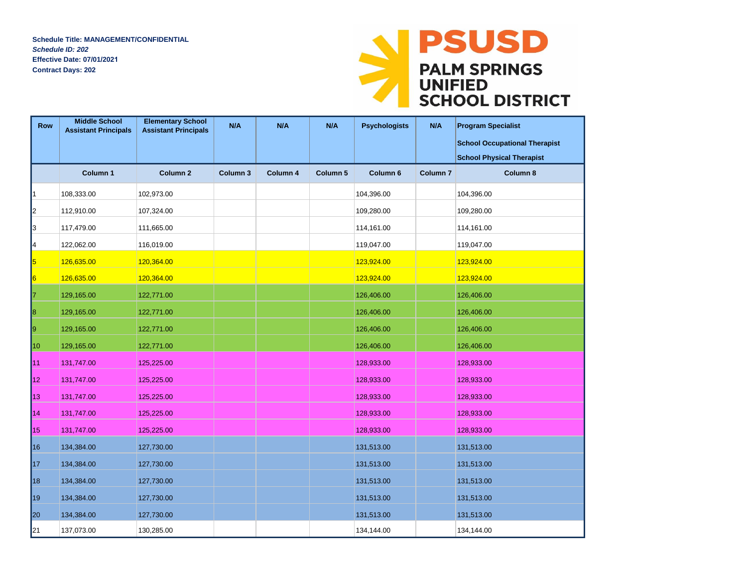**Schedule Title: MANAGEMENT/CONFIDENTIAL** *Schedule ID: 202* **Effective Date: 07/01/2021 Contract Days: 202**



| <b>Row</b>      | <b>Middle School</b><br><b>Assistant Principals</b> | <b>Elementary School</b><br><b>Assistant Principals</b> | N/A                 | N/A      | N/A<br><b>Psychologists</b> |                     | N/A                 | <b>Program Specialist</b><br><b>School Occupational Therapist</b> |
|-----------------|-----------------------------------------------------|---------------------------------------------------------|---------------------|----------|-----------------------------|---------------------|---------------------|-------------------------------------------------------------------|
|                 |                                                     |                                                         |                     |          |                             |                     |                     | <b>School Physical Therapist</b>                                  |
|                 | Column 1                                            | Column <sub>2</sub>                                     | Column <sub>3</sub> | Column 4 | Column 5                    | Column <sub>6</sub> | Column <sub>7</sub> | Column 8                                                          |
| 1               | 108,333.00                                          | 102,973.00                                              |                     |          |                             | 104,396.00          |                     | 104,396.00                                                        |
| 2               | 112,910.00                                          | 107,324.00                                              |                     |          |                             | 109,280.00          |                     | 109,280.00                                                        |
| 3               | 117,479.00                                          | 111,665.00                                              |                     |          |                             | 114,161.00          |                     | 114,161.00                                                        |
| 4               | 122,062.00                                          | 116,019.00                                              |                     |          |                             | 119,047.00          |                     | 119,047.00                                                        |
| 5               | 126,635.00                                          | 120,364.00                                              |                     |          |                             | 123,924.00          |                     | 123,924.00                                                        |
| $\vert 6 \vert$ | 126,635.00                                          | 120,364.00                                              |                     |          |                             | 123,924.00          |                     | 123,924.00                                                        |
| 17              | 129,165.00                                          | 122,771.00                                              |                     |          |                             | 126,406.00          |                     | 126,406.00                                                        |
| 18              | 129,165.00                                          | 122,771.00                                              |                     |          |                             | 126,406.00          |                     | 126,406.00                                                        |
| 19              | 129,165.00                                          | 122,771.00                                              |                     |          |                             | 126,406.00          |                     | 126,406.00                                                        |
| 10              | 129,165.00                                          | 122,771.00                                              |                     |          |                             | 126,406.00          |                     | 126,406.00                                                        |
| 11              | 131,747.00                                          | 125,225.00                                              |                     |          |                             | 128,933.00          |                     | 128,933.00                                                        |
| 12              | 131,747.00                                          | 125,225.00                                              |                     |          |                             | 128,933.00          |                     | 128,933.00                                                        |
| 13              | 131,747.00                                          | 125,225.00                                              |                     |          |                             | 128,933.00          |                     | 128,933.00                                                        |
| 14              | 131,747.00                                          | 125,225.00                                              |                     |          |                             | 128,933.00          |                     | 128,933.00                                                        |
| 15              | 131,747.00                                          | 125,225.00                                              |                     |          |                             | 128,933.00          |                     | 128,933.00                                                        |
| 16              | 134,384.00                                          | 127,730.00                                              |                     |          |                             | 131,513.00          |                     | 131,513.00                                                        |
| 17              | 134,384.00                                          | 127,730.00                                              |                     |          |                             | 131,513.00          |                     | 131,513.00                                                        |
| 18              | 134,384.00                                          | 127,730.00                                              |                     |          |                             | 131,513.00          |                     | 131,513.00                                                        |
| 19              | 134,384.00                                          | 127,730.00                                              |                     |          |                             | 131,513.00          |                     | 131,513.00                                                        |
| 20              | 134,384.00                                          | 127,730.00                                              |                     |          |                             | 131,513.00          |                     | 131,513.00                                                        |
| 21              | 137,073.00                                          | 130,285.00                                              |                     |          |                             | 134,144.00          |                     | 134,144.00                                                        |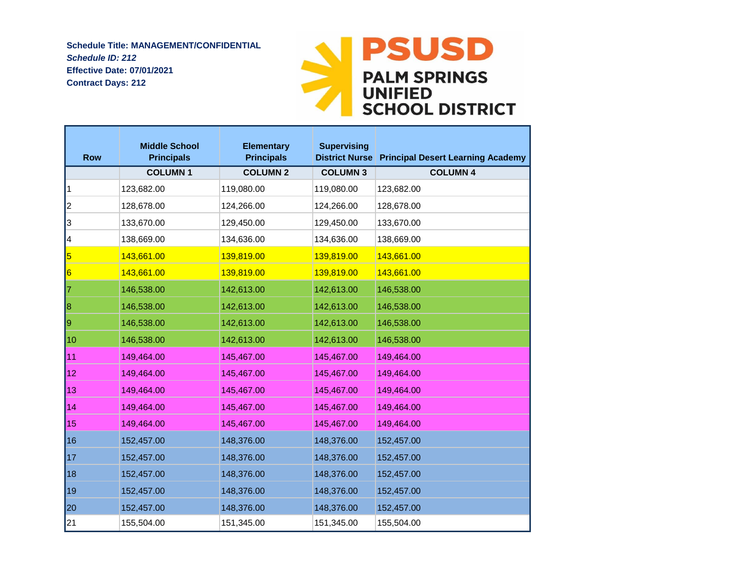**Schedule Title: MANAGEMENT/CONFIDENTIAL** *Schedule ID: 212* **Effective Date: 07/01/2021 Contract Days: 212**



| <b>Row</b>      | <b>Middle School</b><br><b>Principals</b> | <b>Elementary</b><br><b>Principals</b> | <b>Supervising</b> | <b>District Nurse Principal Desert Learning Academy</b> |
|-----------------|-------------------------------------------|----------------------------------------|--------------------|---------------------------------------------------------|
|                 | <b>COLUMN1</b>                            | <b>COLUMN 2</b>                        | <b>COLUMN 3</b>    | <b>COLUMN 4</b>                                         |
| 1               | 123,682.00                                | 119,080.00                             | 119,080.00         | 123,682.00                                              |
| 2               | 128,678.00                                | 124,266.00                             | 124,266.00         | 128,678.00                                              |
| 3               | 133,670.00                                | 129,450.00                             | 129,450.00         | 133,670.00                                              |
| 4               | 138,669.00                                | 134,636.00                             | 134,636.00         | 138,669.00                                              |
| 5               | 143,661.00                                | 139,819.00                             | 139,819.00         | 143,661.00                                              |
| $\vert 6 \vert$ | 143,661.00                                | 139,819.00                             | 139,819.00         | 143,661.00                                              |
| 17              | 146,538.00                                | 142,613.00                             | 142,613.00         | 146,538.00                                              |
| 8               | 146,538.00                                | 142,613.00                             | 142,613.00         | 146,538.00                                              |
| 19              | 146,538.00                                | 142,613.00                             | 142,613.00         | 146,538.00                                              |
| 10              | 146,538.00                                | 142,613.00                             | 142,613.00         | 146,538.00                                              |
| l11             | 149,464.00                                | 145,467.00                             | 145,467.00         | 149,464.00                                              |
| 12              | 149,464.00                                | 145,467.00                             | 145,467.00         | 149,464.00                                              |
| 13              | 149,464.00                                | 145,467.00                             | 145,467.00         | 149,464.00                                              |
| 14              | 149,464.00                                | 145,467.00                             | 145,467.00         | 149,464.00                                              |
| 15              | 149,464.00                                | 145,467.00                             | 145,467.00         | 149,464.00                                              |
| 16              | 152,457.00                                | 148,376.00                             | 148,376.00         | 152,457.00                                              |
| $\vert$ 17      | 152,457.00                                | 148,376.00                             | 148,376.00         | 152,457.00                                              |
| 18              | 152,457.00                                | 148,376.00                             | 148,376.00         | 152,457.00                                              |
| 19              | 152,457.00                                | 148,376.00                             | 148,376.00         | 152,457.00                                              |
| 20              | 152,457.00                                | 148,376.00                             | 148,376.00         | 152,457.00                                              |
| 21              | 155,504.00                                | 151,345.00                             | 151,345.00         | 155,504.00                                              |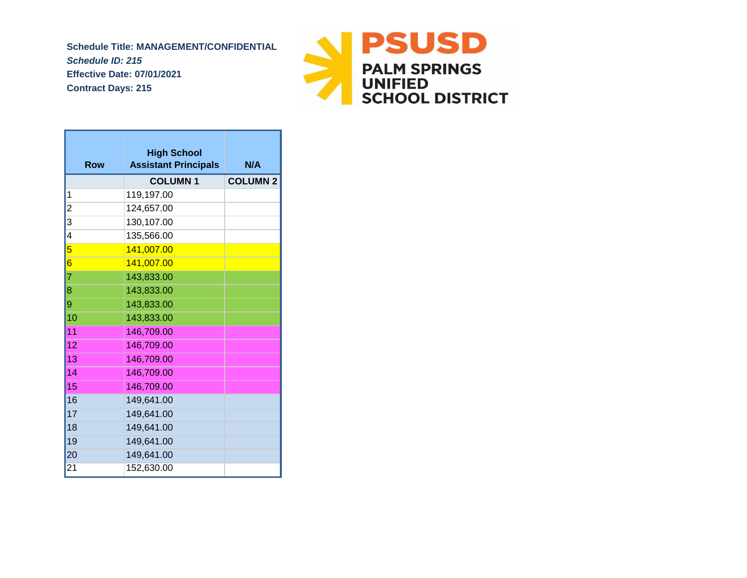*Schedule ID: 215* **Effective Date: 07/01/2021 Contract Days: 215 Schedule Title: MANAGEMENT/CONFIDENTIAL**



| <b>Row</b>              | <b>High School</b><br><b>Assistant Principals</b> | N/A             |
|-------------------------|---------------------------------------------------|-----------------|
|                         | <b>COLUMN1</b>                                    | <b>COLUMN 2</b> |
| 1                       | 119,197.00                                        |                 |
| $\overline{\mathbf{c}}$ | 124,657.00                                        |                 |
| $\overline{\mathbf{3}}$ | 130,107.00                                        |                 |
| $\overline{4}$          | 135,566.00                                        |                 |
| 5                       | 141,007.00                                        |                 |
| 6                       | 141,007.00                                        |                 |
| 7                       | 143,833.00                                        |                 |
| $\overline{\bf 8}$      | 143,833.00                                        |                 |
| 9                       | 143,833.00                                        |                 |
| 10                      | 143,833.00                                        |                 |
| 11                      | 146,709.00                                        |                 |
| 12                      | 146,709.00                                        |                 |
| 13                      | 146,709.00                                        |                 |
| 14                      | 146,709.00                                        |                 |
| 15                      | 146,709.00                                        |                 |
| 16                      | 149,641.00                                        |                 |
| 17                      | 149,641.00                                        |                 |
| 18                      | 149,641.00                                        |                 |
| 19                      | 149,641.00                                        |                 |
| 20                      | 149,641.00                                        |                 |
| 21                      | 152,630.00                                        |                 |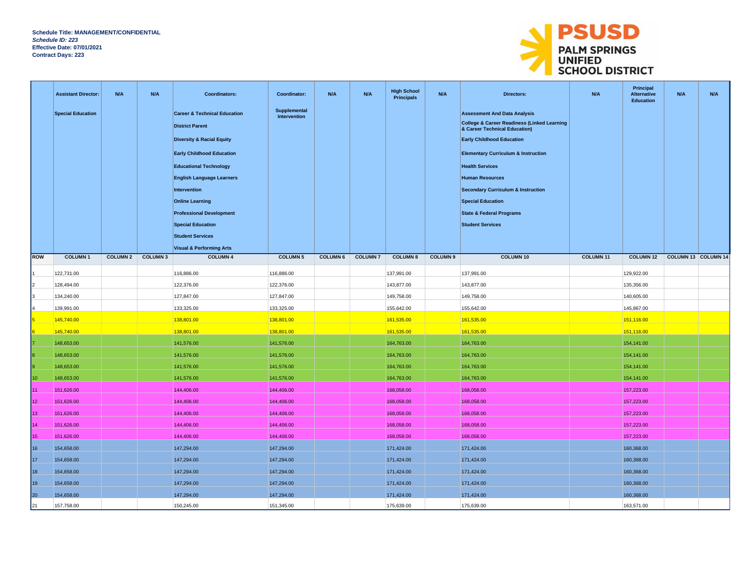

|                 | <b>Assistant Director:</b> | N/A             | N/A            | <b>Coordinators:</b>                                   | Coordinator:                 | N/A             | N/A            | <b>High School</b><br><b>Principals</b> | N/A             | Directors:                                                                   | N/A              | Principal<br><b>Alternative</b><br>Education | N/A                 | N/A |
|-----------------|----------------------------|-----------------|----------------|--------------------------------------------------------|------------------------------|-----------------|----------------|-----------------------------------------|-----------------|------------------------------------------------------------------------------|------------------|----------------------------------------------|---------------------|-----|
|                 | <b>Special Education</b>   |                 |                | <b>Career &amp; Technical Education</b>                | Supplemental<br>Intervention |                 |                |                                         |                 | <b>Assessment And Data Analysis</b>                                          |                  |                                              |                     |     |
|                 |                            |                 |                | <b>District Parent</b>                                 |                              |                 |                |                                         |                 | College & Career Readiness (Linked Learning<br>& Career Technical Education) |                  |                                              |                     |     |
|                 |                            |                 |                | <b>Diversity &amp; Racial Equity</b>                   |                              |                 |                |                                         |                 | <b>Early Childhood Education</b>                                             |                  |                                              |                     |     |
|                 |                            |                 |                |                                                        |                              |                 |                |                                         |                 |                                                                              |                  |                                              |                     |     |
|                 |                            |                 |                | <b>Early Childhood Education</b>                       |                              |                 |                |                                         |                 | <b>Elementary Curriculum &amp; Instruction</b>                               |                  |                                              |                     |     |
|                 |                            |                 |                | <b>Educational Technology</b>                          |                              |                 |                |                                         |                 | <b>Health Services</b>                                                       |                  |                                              |                     |     |
|                 |                            |                 |                | <b>English Language Learners</b>                       |                              |                 |                |                                         |                 | <b>Human Resources</b>                                                       |                  |                                              |                     |     |
|                 |                            |                 |                | Intervention                                           |                              |                 |                |                                         |                 | <b>Secondary Curriculum &amp; Instruction</b>                                |                  |                                              |                     |     |
|                 |                            |                 |                | <b>Online Learning</b>                                 |                              |                 |                |                                         |                 | <b>Special Education</b>                                                     |                  |                                              |                     |     |
|                 |                            |                 |                | <b>Professional Development</b>                        |                              |                 |                |                                         |                 | <b>State &amp; Federal Programs</b>                                          |                  |                                              |                     |     |
|                 |                            |                 |                | <b>Special Education</b>                               |                              |                 |                |                                         |                 | <b>Student Services</b>                                                      |                  |                                              |                     |     |
|                 |                            |                 |                | <b>Student Services</b>                                |                              |                 |                |                                         |                 |                                                                              |                  |                                              |                     |     |
| ROW             | <b>COLUMN1</b>             | <b>COLUMN 2</b> | <b>COLUMN3</b> | <b>Visual &amp; Performing Arts</b><br><b>COLUMN 4</b> | <b>COLUMN 5</b>              | <b>COLUMN 6</b> | <b>COLUMN7</b> | <b>COLUMN 8</b>                         | <b>COLUMN 9</b> | <b>COLUMN 10</b>                                                             | <b>COLUMN 11</b> | <b>COLUMN 12</b>                             | COLUMN 13 COLUMN 14 |     |
|                 |                            |                 |                |                                                        |                              |                 |                |                                         |                 |                                                                              |                  |                                              |                     |     |
|                 | 122,731.00                 |                 |                | 116,886.00                                             | 116,886.00                   |                 |                | 137,991.00                              |                 | 137,991.00                                                                   |                  | 129,922.00                                   |                     |     |
|                 | 128,494.00                 |                 |                | 122,376.00                                             | 122,376.00                   |                 |                | 143,877.00                              |                 | 143,877.00                                                                   |                  | 135,356.00                                   |                     |     |
|                 | 134,240.00                 |                 |                | 127,847.00                                             | 127,847.00                   |                 |                | 149,758.00                              |                 | 149,758.00                                                                   |                  | 140,605.00                                   |                     |     |
|                 | 139,991.00                 |                 |                | 133,325.00                                             | 133,325.00                   |                 |                | 155,642.00                              |                 | 155,642.00                                                                   |                  | 145,867.00                                   |                     |     |
|                 | 145,740.00                 |                 |                | 138,801.00                                             | 138,801.00                   |                 |                | 161,535.00                              |                 | 161,535.00                                                                   |                  | 151,116.00                                   |                     |     |
|                 | 145,740.00                 |                 |                | 138,801.00                                             | 138,801.00                   |                 |                | 161,535.00                              |                 | 161,535.00                                                                   |                  | 151,116.00                                   |                     |     |
|                 | 148,653.00                 |                 |                | 141,576.00                                             | 141,576.00                   |                 |                | 164,763.00                              |                 | 164,763.00                                                                   |                  | 154,141.00                                   |                     |     |
|                 | 148,653.00                 |                 |                | 141,576.00                                             | 141,576.00                   |                 |                | 164,763.00                              |                 | 164,763.00                                                                   |                  | 154,141.00                                   |                     |     |
|                 | 148,653.00                 |                 |                | 141,576.00                                             | 141,576.00                   |                 |                | 164,763.00                              |                 | 164,763.00                                                                   |                  | 154,141.00                                   |                     |     |
| 10 <sub>1</sub> | 148,653.00                 |                 |                | 141,576.00                                             | 141,576.00                   |                 |                | 164,763.00                              |                 | 164,763.00                                                                   |                  | 154,141.00                                   |                     |     |
| 11              | 151,626.00                 |                 |                | 144,406.00                                             | 144,406.00                   |                 |                | 168,058.00                              |                 | 168,058.00                                                                   |                  | 157,223.00                                   |                     |     |
| 12              | 151,626.00                 |                 |                | 144,406.00                                             | 144,406.00                   |                 |                | 168,058.00                              |                 | 168,058.00                                                                   |                  | 157,223.00                                   |                     |     |
| 13              | 151,626.00                 |                 |                | 144,406.00                                             | 144,406.00                   |                 |                | 168,058.00                              |                 | 168,058.00                                                                   |                  | 157,223.00                                   |                     |     |
| 14              | 151,626.00                 |                 |                | 144,406.00                                             | 144,406.00                   |                 |                | 168,058.00                              |                 | 168,058.00                                                                   |                  | 157,223.00                                   |                     |     |
| 15              | 151,626.00                 |                 |                | 144,406.00                                             | 144,406.00                   |                 |                | 168,058.00                              |                 | 168,058.00                                                                   |                  | 157,223.00                                   |                     |     |
| 16              | 154,658.00                 |                 |                | 147,294.00                                             | 147,294.00                   |                 |                | 171,424.00                              |                 | 171,424.00                                                                   |                  | 160,368.00                                   |                     |     |
| 17              | 154,658.00                 |                 |                | 147,294.00                                             | 147,294.00                   |                 |                | 171,424.00                              |                 | 171,424.00                                                                   |                  | 160,368.00                                   |                     |     |
| 18              | 154,658.00                 |                 |                | 147,294.00                                             | 147,294.00                   |                 |                | 171,424.00                              |                 | 171,424.00                                                                   |                  | 160,368.00                                   |                     |     |
| 19              | 154,658.00                 |                 |                | 147,294.00                                             | 147,294.00                   |                 |                | 171,424.00                              |                 | 171,424.00                                                                   |                  | 160,368.00                                   |                     |     |
| 20              | 154,658.00                 |                 |                | 147,294.00                                             | 147,294.00                   |                 |                | 171,424.00                              |                 | 171,424.00                                                                   |                  | 160,368.00                                   |                     |     |
| 21              | 157,758.00                 |                 |                | 150,245.00                                             | 151,345.00                   |                 |                | 175,639.00                              |                 | 175,639.00                                                                   |                  | 163,571.00                                   |                     |     |